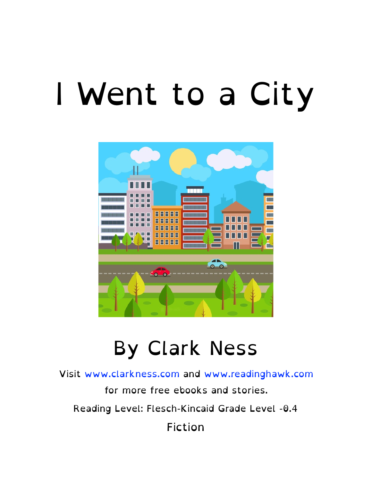### I Went to a City



#### By Clark Ness

Visit [www.clarkness.com](http://www.clarkness.com) and [www.readinghawk.com](http://www.readinghawk.com)

for more free ebooks and stories.

Reading Level: Flesch-Kincaid Grade Level -0.4

Fiction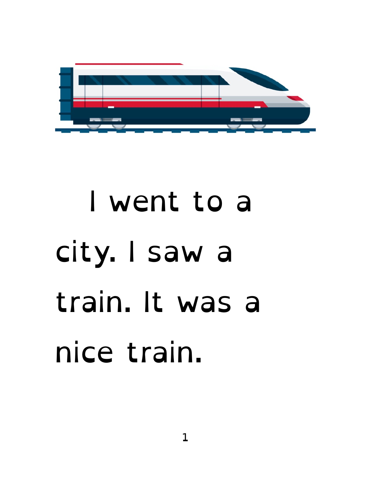

## I went to a city. I saw a train. It was a nice train.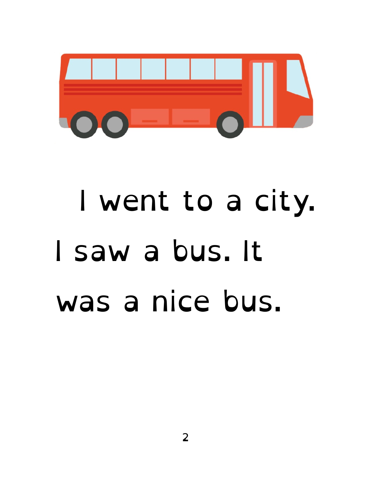

## I went to a city. I saw a bus. It was a nice bus.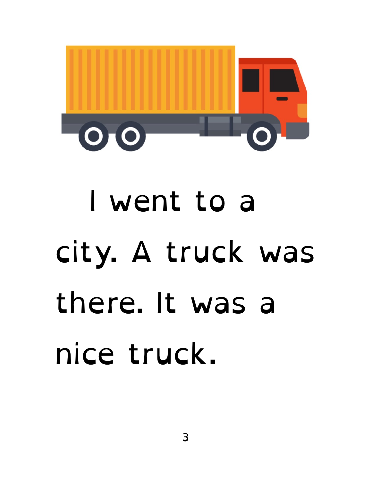

# I went to a city. A truck was there. It was a nice truck.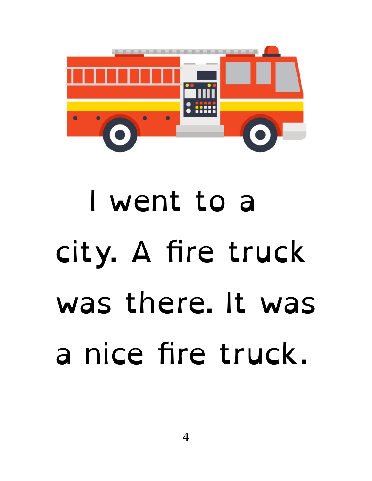

# I went to a city. A fire truck was there. It was a nice fire truck.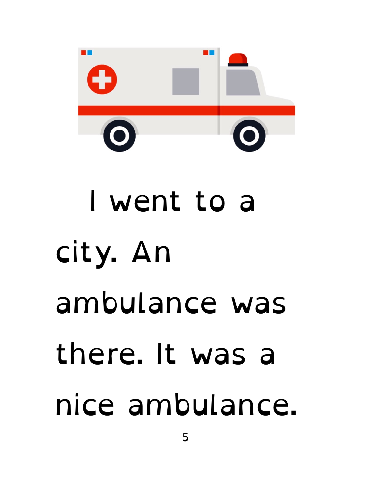

# I went to a city. An ambulance was there. It was a nice ambulance.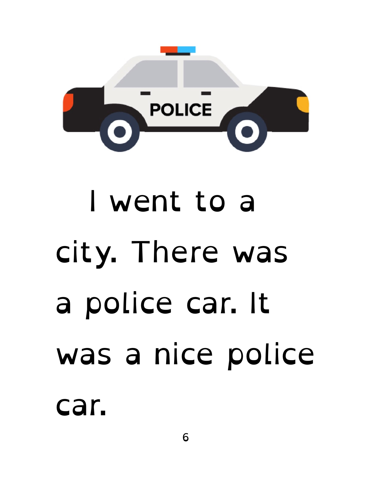

# I went to a city. There was a police car. It was a nice police

car.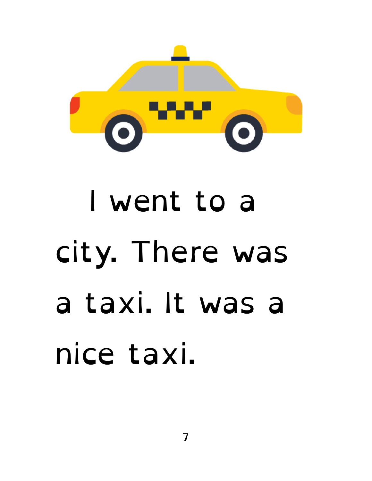

# I went to a city. There was a taxi. It was a nice taxi.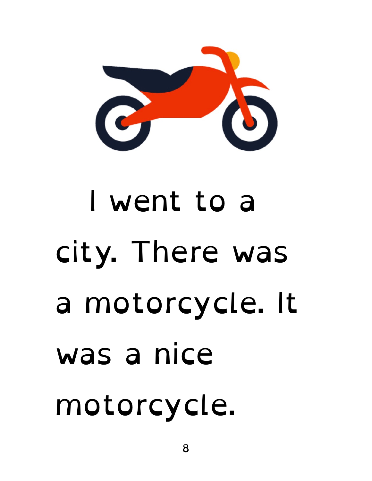

# I went to a city. There was a motorcycle. It was a nice motorcycle.